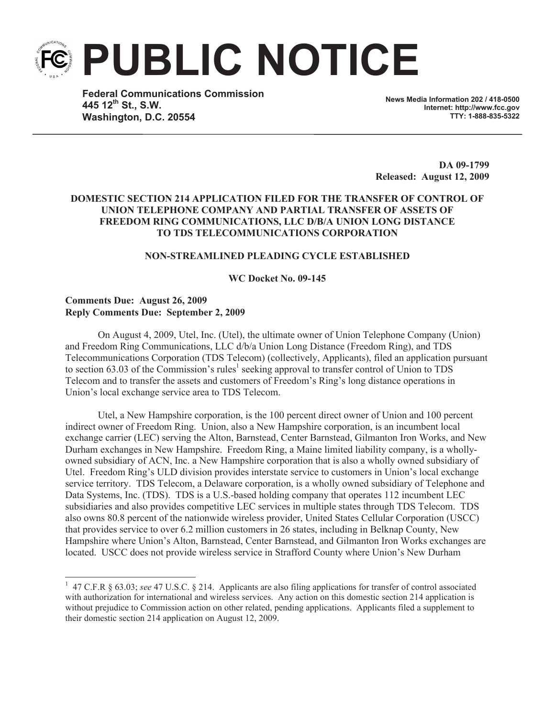**PUBLIC NOTICE**

**Federal Communications Commission 445 12th St., S.W. Washington, D.C. 20554**

**News Media Information 202 / 418-0500 Internet: http://www.fcc.gov TTY: 1-888-835-5322**

**DA 09-1799 Released: August 12, 2009**

# **DOMESTIC SECTION 214 APPLICATION FILED FOR THE TRANSFER OF CONTROL OF UNION TELEPHONE COMPANY AND PARTIAL TRANSFER OF ASSETS OF FREEDOM RING COMMUNICATIONS, LLC D/B/A UNION LONG DISTANCE TO TDS TELECOMMUNICATIONS CORPORATION**

## **NON-STREAMLINED PLEADING CYCLE ESTABLISHED**

**WC Docket No. 09-145**

# **Comments Due: August 26, 2009 Reply Comments Due: September 2, 2009**

On August 4, 2009, Utel, Inc. (Utel), the ultimate owner of Union Telephone Company (Union) and Freedom Ring Communications, LLC d/b/a Union Long Distance (Freedom Ring), and TDS Telecommunications Corporation (TDS Telecom) (collectively, Applicants), filed an application pursuant to section 63.03 of the Commission's rules<sup>1</sup> seeking approval to transfer control of Union to TDS Telecom and to transfer the assets and customers of Freedom's Ring's long distance operations in Union's local exchange service area to TDS Telecom.

Utel, a New Hampshire corporation, is the 100 percent direct owner of Union and 100 percent indirect owner of Freedom Ring. Union, also a New Hampshire corporation, is an incumbent local exchange carrier (LEC) serving the Alton, Barnstead, Center Barnstead, Gilmanton Iron Works, and New Durham exchanges in New Hampshire. Freedom Ring, a Maine limited liability company, is a whollyowned subsidiary of ACN, Inc. a New Hampshire corporation that is also a wholly owned subsidiary of Utel. Freedom Ring's ULD division provides interstate service to customers in Union's local exchange service territory. TDS Telecom, a Delaware corporation, is a wholly owned subsidiary of Telephone and Data Systems, Inc. (TDS). TDS is a U.S.-based holding company that operates 112 incumbent LEC subsidiaries and also provides competitive LEC services in multiple states through TDS Telecom. TDS also owns 80.8 percent of the nationwide wireless provider, United States Cellular Corporation (USCC) that provides service to over 6.2 million customers in 26 states, including in Belknap County, New Hampshire where Union's Alton, Barnstead, Center Barnstead, and Gilmanton Iron Works exchanges are located. USCC does not provide wireless service in Strafford County where Union's New Durham

<sup>&</sup>lt;sup>1</sup> 47 C.F.R § 63.03; *see* 47 U.S.C. § 214. Applicants are also filing applications for transfer of control associated with authorization for international and wireless services. Any action on this domestic section 214 application is without prejudice to Commission action on other related, pending applications. Applicants filed a supplement to their domestic section 214 application on August 12, 2009.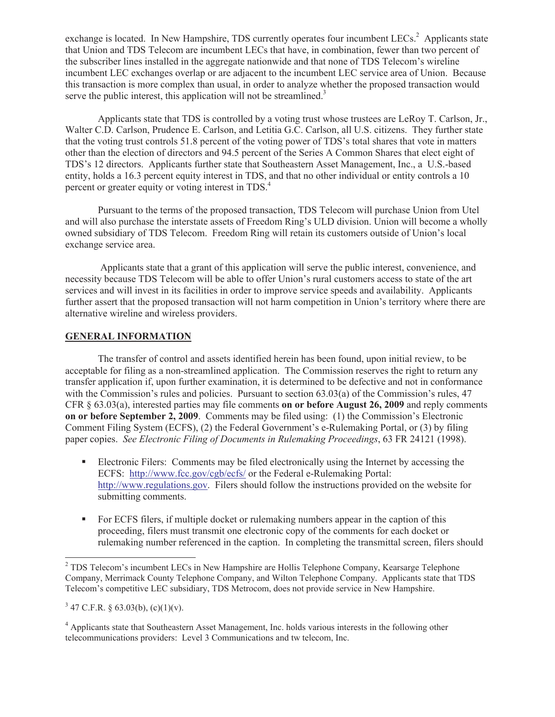exchange is located. In New Hampshire, TDS currently operates four incumbent LECs.<sup>2</sup> Applicants state that Union and TDS Telecom are incumbent LECs that have, in combination, fewer than two percent of the subscriber lines installed in the aggregate nationwide and that none of TDS Telecom's wireline incumbent LEC exchanges overlap or are adjacent to the incumbent LEC service area of Union. Because this transaction is more complex than usual, in order to analyze whether the proposed transaction would serve the public interest, this application will not be streamlined.<sup>3</sup>

Applicants state that TDS is controlled by a voting trust whose trustees are LeRoy T. Carlson, Jr., Walter C.D. Carlson, Prudence E. Carlson, and Letitia G.C. Carlson, all U.S. citizens. They further state that the voting trust controls 51.8 percent of the voting power of TDS's total shares that vote in matters other than the election of directors and 94.5 percent of the Series A Common Shares that elect eight of TDS's 12 directors. Applicants further state that Southeastern Asset Management, Inc., a U.S.-based entity, holds a 16.3 percent equity interest in TDS, and that no other individual or entity controls a 10 percent or greater equity or voting interest in TDS.<sup>4</sup>

Pursuant to the terms of the proposed transaction, TDS Telecom will purchase Union from Utel and will also purchase the interstate assets of Freedom Ring's ULD division. Union will become a wholly owned subsidiary of TDS Telecom. Freedom Ring will retain its customers outside of Union's local exchange service area.

Applicants state that a grant of this application will serve the public interest, convenience, and necessity because TDS Telecom will be able to offer Union's rural customers access to state of the art services and will invest in its facilities in order to improve service speeds and availability. Applicants further assert that the proposed transaction will not harm competition in Union's territory where there are alternative wireline and wireless providers.

## **GENERAL INFORMATION**

The transfer of control and assets identified herein has been found, upon initial review, to be acceptable for filing as a non-streamlined application. The Commission reserves the right to return any transfer application if, upon further examination, it is determined to be defective and not in conformance with the Commission's rules and policies. Pursuant to section 63.03(a) of the Commission's rules, 47 CFR § 63.03(a), interested parties may file comments **on or before August 26, 2009** and reply comments **on or before September 2, 2009**. Comments may be filed using: (1) the Commission's Electronic Comment Filing System (ECFS), (2) the Federal Government's e-Rulemaking Portal, or (3) by filing paper copies. *See Electronic Filing of Documents in Rulemaking Proceedings*, 63 FR 24121 (1998).

- Electronic Filers: Comments may be filed electronically using the Internet by accessing the ECFS: http://www.fcc.gov/cgb/ecfs/ or the Federal e-Rulemaking Portal: http://www.regulations.gov. Filers should follow the instructions provided on the website for submitting comments.
- For ECFS filers, if multiple docket or rulemaking numbers appear in the caption of this proceeding, filers must transmit one electronic copy of the comments for each docket or rulemaking number referenced in the caption. In completing the transmittal screen, filers should

<sup>&</sup>lt;sup>2</sup> TDS Telecom's incumbent LECs in New Hampshire are Hollis Telephone Company, Kearsarge Telephone Company, Merrimack County Telephone Company, and Wilton Telephone Company. Applicants state that TDS Telecom's competitive LEC subsidiary, TDS Metrocom, does not provide service in New Hampshire.

 $3\,47$  C.F.R. § 63.03(b), (c)(1)(v).

<sup>4</sup> Applicants state that Southeastern Asset Management, Inc. holds various interests in the following other telecommunications providers: Level 3 Communications and tw telecom, Inc.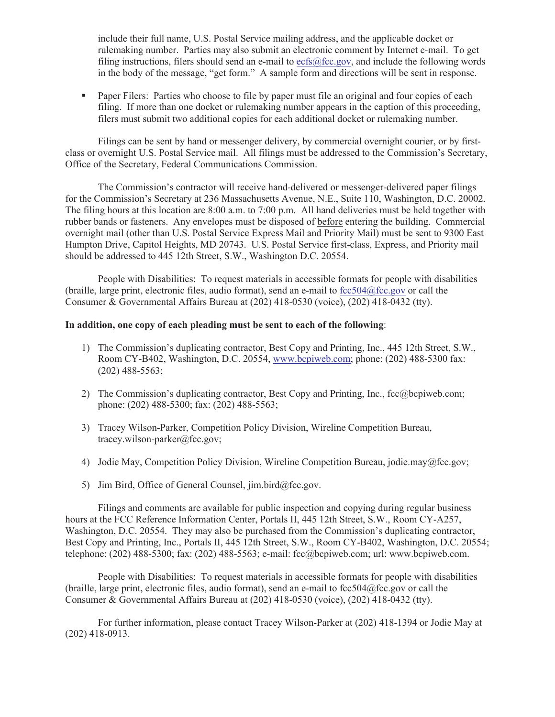include their full name, U.S. Postal Service mailing address, and the applicable docket or rulemaking number. Parties may also submit an electronic comment by Internet e-mail. To get filing instructions, filers should send an e-mail to  $\epsilon$ cfs@fcc.gov, and include the following words in the body of the message, "get form." A sample form and directions will be sent in response.

■ Paper Filers: Parties who choose to file by paper must file an original and four copies of each filing. If more than one docket or rulemaking number appears in the caption of this proceeding, filers must submit two additional copies for each additional docket or rulemaking number.

Filings can be sent by hand or messenger delivery, by commercial overnight courier, or by firstclass or overnight U.S. Postal Service mail. All filings must be addressed to the Commission's Secretary, Office of the Secretary, Federal Communications Commission.

The Commission's contractor will receive hand-delivered or messenger-delivered paper filings for the Commission's Secretary at 236 Massachusetts Avenue, N.E., Suite 110, Washington, D.C. 20002. The filing hours at this location are 8:00 a.m. to 7:00 p.m. All hand deliveries must be held together with rubber bands or fasteners. Any envelopes must be disposed of before entering the building. Commercial overnight mail (other than U.S. Postal Service Express Mail and Priority Mail) must be sent to 9300 East Hampton Drive, Capitol Heights, MD 20743. U.S. Postal Service first-class, Express, and Priority mail should be addressed to 445 12th Street, S.W., Washington D.C. 20554.

People with Disabilities: To request materials in accessible formats for people with disabilities (braille, large print, electronic files, audio format), send an e-mail to  $fcc504@$ fcc.gov or call the Consumer & Governmental Affairs Bureau at (202) 418-0530 (voice), (202) 418-0432 (tty).

#### **In addition, one copy of each pleading must be sent to each of the following**:

- 1) The Commission's duplicating contractor, Best Copy and Printing, Inc., 445 12th Street, S.W., Room CY-B402, Washington, D.C. 20554, www.bcpiweb.com; phone: (202) 488-5300 fax: (202) 488-5563;
- 2) The Commission's duplicating contractor, Best Copy and Printing, Inc., fcc@bcpiweb.com; phone: (202) 488-5300; fax: (202) 488-5563;
- 3) Tracey Wilson-Parker, Competition Policy Division, Wireline Competition Bureau, tracey.wilson-parker@fcc.gov;
- 4) Jodie May, Competition Policy Division, Wireline Competition Bureau, jodie.may@fcc.gov;
- 5) Jim Bird, Office of General Counsel, jim.bird@fcc.gov.

Filings and comments are available for public inspection and copying during regular business hours at the FCC Reference Information Center, Portals II, 445 12th Street, S.W., Room CY-A257, Washington, D.C. 20554. They may also be purchased from the Commission's duplicating contractor, Best Copy and Printing, Inc., Portals II, 445 12th Street, S.W., Room CY-B402, Washington, D.C. 20554; telephone: (202) 488-5300; fax: (202) 488-5563; e-mail: fcc@bcpiweb.com; url: www.bcpiweb.com.

People with Disabilities: To request materials in accessible formats for people with disabilities (braille, large print, electronic files, audio format), send an e-mail to fcc504@fcc.gov or call the Consumer & Governmental Affairs Bureau at (202) 418-0530 (voice), (202) 418-0432 (tty).

For further information, please contact Tracey Wilson-Parker at (202) 418-1394 or Jodie May at (202) 418-0913.